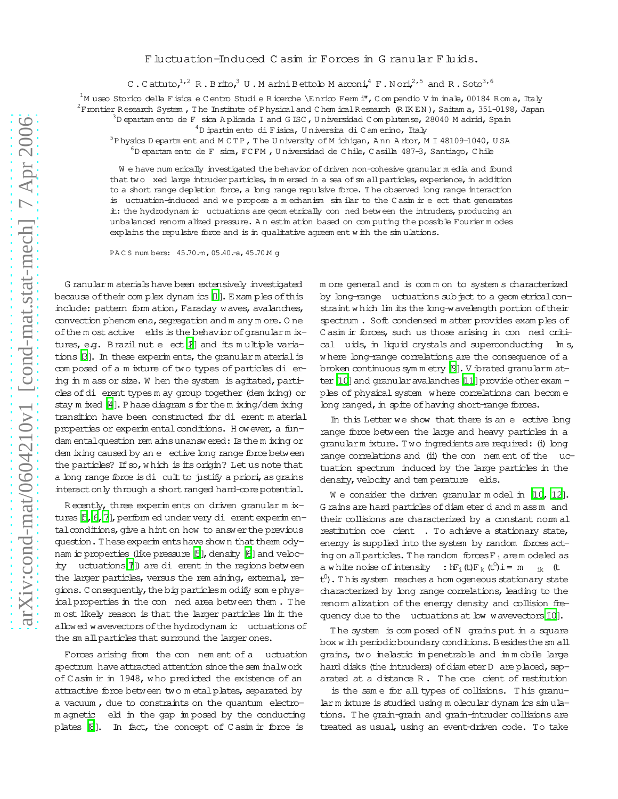## F luctuation-Induced C asim ir Forces in G ranular F luids.

C. Cattuto,  $1/2$  R. Brito, U. Marini Bettolo Marconi,  $4$  F. Nori,  $2/5$  and R. Soto  $3/6$ 

<sup>1</sup>M useo Storico della Fisica e Centro Studi e Ricerche \Enrico Fermi", Compendio V im inale, 00184 Roma, Italy

 $2^2$ Frontier Research System, The Institute of Physical and Chem ical Research (RIKEN), Saitam a, 351-0198, Japan

 $3D$  epartam ento de F sica Aplicada I and G ISC, Universidad C omplutense, 28040 M adrid, Spain

 $4D$  ipartim ento di Fisica, Universita di Camerino, Italy

 $5P$  hysics D epartm ent and MCTP, The University of M ichigan, Ann Arbor, MI 48109-1040, USA  $^6$ D epartam ento de F sica, FCFM , Universidad de Chile, Casilla 487-3, Santiago, Chile

We have num erically investigated the behavior of driven non-cohesive granular media and found that two xed large intruder particles, in mersed in a sea of small particles, experience, in addition to a short range depletion force, a long range repulsive force. The observed long range interaction is uctuation-induced and we propose a mechanism similar to the Casim ir e ect that generates it: the hydrodynam ic uctuations are geom etrically con ned between the intruders, producing an unbalanced renorm alized pressure. An estim ation based on computing the possible Fourier modes explains the repulsive force and is in qualitative agreem ent with the simulations.

PACS numbers: 45.70. n, 05.40. - a, 45.70 M q

G ranular m aterials have been extensively investigated because of their complex dynamics [1]. Examples of this include: pattem form ation, Faraday waves, avalanches, convection phenom ena, segregation and m any m ore. One of the most active elds is the behavior of granularm ixtures, e.g. Brazil nut e ect (2) and its multiple variations B]. In these experiments, the granular material is composed of a mixture of two types of particles di ering in m ass or size. W hen the system is agitated, particles of di erent types m ay group together (dem ixing) or stay m ixed  $[4]$ . Phase diagram s for the m ixing/dem ixing transition have been constructed for di erent material properties or experimental conditions. However, a fundam entalquestion rem ains unanswered: Is the m ixing or dem ixing caused by an e ective long range force between the particles? If so, which is its origin? Let us note that a long range force is di cult to justify a priori, as grains interact only through a short ranged hard-core potential.

Recently, three experiments on driven granular m ixtures [5, 6, 7], perform ed under very di erent experim entalconditions, give a hint on how to answer the previous question. These experiments have shown that them odynam ic properties (like pressure 5), density [6] and velocity uctuations []) are di erent in the regions between the larger particles, versus the rem aining, external, regions. Consequently, the big particles modify some physical properties in the con ned area between them. The m ost likely reason is that the larger particles lim it the allowed wavevectors of the hydrodynam ic uctuations of the sm all particles that surround the larger ones.

Forces arising from the con nement of a uctuation spectrum have attracted attention since the sem inalwork of Casim ir in 1948, who predicted the existence of an attractive force between two metal plates, separated by a vacuum, due to constraints on the quantum electromagnetic eld in the gap imposed by the conducting plates [8]. In fact, the concept of Casim ir force is

m ore general and is common to systems characterized by long-range uctuations sub ject to a geom etrical constraint which lim its the long-wavelength portion of their spectrum. Soft condensed matter provides examples of Casim ir forces, such us those arising in con ned critical uids, in liquid crystals and superconducting In s, where long-range correlations are the consequence of a broken continuous symmetry [9]. V ibrated granularm atter  $[10]$  and granular avalanches  $[11]$  provide other exam ples of physical system where correlations can become long ranged, in spite of having short-range forces.

In this Letter we show that there is an e ective long range force between the large and heavy particles in a granularm ixture. Two ingredients are required: (i) long range correlations and (ii) the con nem ent of the uctuation spectrum induced by the large particles in the density, velocity and tem perature elds.

We consider the driven granular model in  $[10, 12]$ . G rains are hard particles of diam eter d and m ass m and their collisions are characterized by a constant norm all restitution coe cient . To achieve a stationary state, energy is supplied into the system by random forces acting on all particles. The random forces  $F_i$  are modeled as a white noise of intensity :  $hF_i(t)F_k(t^0)i = m_{ik}(t)$  $t^0$ ). This system reaches a hom ogeneous stationary state characterized by long range correlations, leading to the renom alization of the energy density and collision frequency due to the uctuations at low wavevectors 10].

The system is composed of N grains put in a square box w ith periodic boundary conditions. Besides the sm all grains, two inelastic impenetrable and immobile large hard disks (the intruders) of diam eter D are placed, separated at a distance R. The coe cient of restitution

is the same for all types of collisions. This granularm ixture is studied using molecular dynamics simulations. The grain-grain and grain-intruder collisions are treated as usual, using an event-driven code. To take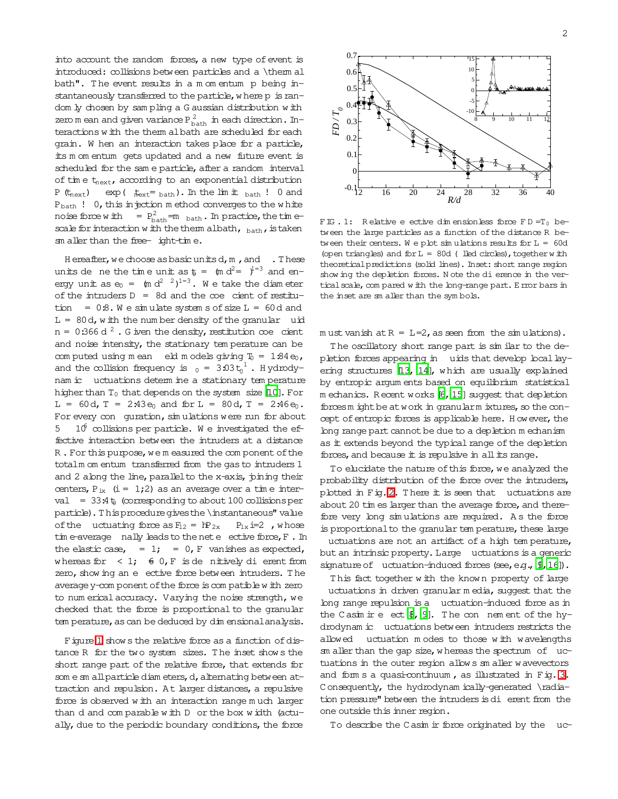into account the random forces, a new type of event is introduced: collisions between particles and a \them al bath". The event results in a m om entum p being instantaneously transferred to the particle, where p is random ly chosen by sampling a G aussian distribution with zero m ean and given variance  $P_{\text{bath}}^2$  in each direction. Interactions with the them albath are scheduled for each grain. W hen an interaction takes place for a particle, its m om entum gets updated and a new future event is scheduled for the sam e particle, after a random interval of time  $t_{\text{next}}$ , according to an exponential distribution P  $(t_{\text{next}})$  exp ( $t_{\text{next}} = \text{bath}$ ). In the lim it  $\text{bath}$  ! 0 and  $P_{\text{bath}}$  ! 0, this in jection m ethod converges to the white noise force with  $P_{\text{bath}}^2 = \text{m}_{\text{bath}}$ . In practice, the timescale for interaction with the them albath,  $_{\text{bath}}$ , is taken sm aller than the free- ight-time.

Hereafter, we choose as basic units d, m, and . These units de ne the time unit as  $\phi = \tan d^2 = \theta^{1/2}$  and energy unit as  $e_0 = (m d^2)^{1/2}$ . We take the diameter of the intruders  $D = 8d$  and the coe cient of restitution =  $0.8$ . We simulate system s of size  $L = 60d$  and  $L = 80d$ , with the number density of the granular uid  $n = 0:366 d<sup>2</sup>$ . G iven the density, restitution coe cient and noise intensity, the stationary tem perature can be computed using mean eld models giving  $T_0 = 1.84 e_0$ , and the collision frequency is  $_0 = 3.03 t_0^1$ . Hydrodynam ic uctuations determ ine a stationary temperature higher than  $T_0$  that depends on the system size [10]. For  $L = 60d$ ,  $T = 2.43e_0$  and  $for L = 80d$ ,  $T = 2.46e_0$ . For every con guration, simulations were run for about 5  $10<sup>6</sup>$  collisions per particle. We investigated the effective interaction between the intruders at a distance R. For this purpose, we measured the component of the totalm om entum transferred from the gas to intruders 1 and 2 along the line, parallel to the x-axis, pining their centers,  $P_{ix}$  (i = 1;2) as an average over a time interval =  $33.4\text{ t}$  (corresponding to about 100 collisions per particle). This procedure gives the \instantaneous" value of the uctuating force as  $F_{12} = hP_{2x}$  $P_{1x}$  i=2, whose  $\lim$  e-average nally leads to the net e ective force,  $F$ . In the elastic case, = 1; = 0, F vanishes as expected, whereas for  $\langle 1; 60, F \rangle$  is denit ively dierent from zero, show ing an e ective force between intruders. The average y-com ponent of the force is compatible with zero to num erical accuracy. Varying the noise strength, we checked that the force is proportional to the granular tem perature, as can be deduced by dim ensional analysis.

Figure 1 shows the relative force as a function of distance R for the two system sizes. The inset shows the short range part of the relative force, that extends for som e sm all particle diam eters, d, alternating between attraction and repulsion. At larger distances, a repulsive force is observed with an interaction range much larger than d and comparable with D or the box width (actually, due to the periodic boundary conditions, the force



<span id="page-1-0"></span>FIG. 1: Relative e ective dimensionless force FD=T<sub>0</sub> between the large particles as a function of the distance R between their centers. We plot simulations results for  $L = 60d$ (open triangles) and for L = 80d (led circles), together with theoretical predictions (solid lines). Inset: short range region show ing the depletion forces. Note the di erence in the vertical scale, compared with the long-range part. E mor bars in the inset are sm aller than the symbols.

must vanish at  $R = L=2$ , as seen from the simulations).

The oscillatory short range part is similar to the depletion forces appearing in uids that develop local layering structures [13, 14], which are usually explained by entropic argum ents based on equilibrium statistical m echanics. Recent works [6, 15] suggest that depletion forces m ight be at work in granularm ixtures, so the concept of entropic forces is applicable here. However, the long range part cannot be due to a depletion m echanism as it extends beyond the typical range of the depletion forces, and because it is repulsive in all its range.

To elucidate the nature of this force, we analyzed the probability distribution of the force over the intruders, plotted in Fig. 2. There it is seen that uctuations are about 20 tim es larger than the average force, and therefore very long simulations are required. As the force is proportional to the granular tem perature, these large uctuations are not an artifact of a high temperature, but an intrinsic property. Large uctuations is a generic signature of uctuation-induced forces (see, e.g.,  $\mathcal{P}$ , 16]).

This fact together with the known property of large uctuations in driven granular media, suggest that the long range repulsion is a uctuation-induced force as in the Casim ir e ect  $\ell$ , 9]. The con nement of the hydrodynam ic uctuations between intruders restricts the uctuation modes to those with wavelengths allowed sm aller than the gap size, whereas the spectrum of uctuations in the outer region allows an aller wavevectors and form s a quasi-continuum, as illustrated in Fig. 3. Consequently, the hydrodynam ically-generated \radiation pressure" between the intruders is di erent from the one outside this inner region.

To describe the Casim ir force originated by the uc-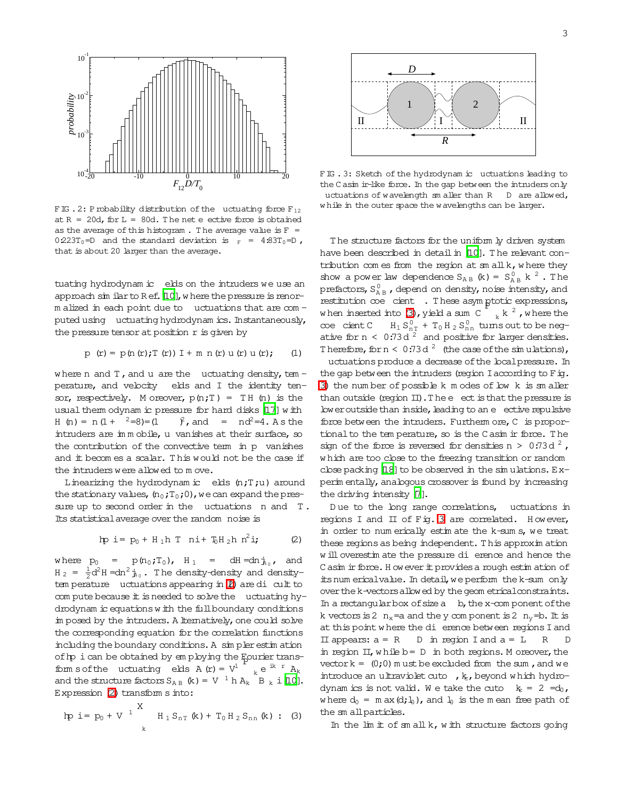

<span id="page-2-0"></span>FIG. 2: Probability distribution of the uctuating force  $F_{12}$ at  $R = 20d$ , for  $L = 80d$ . The net e ective force is obtained as the average of this histogram. The average value is  $F =$  $0.223T_0 = D$  and the standard deviation is  $_F = 4.83T_0 = D$ , that is about 20 larger than the average.

tuating hydrodynam ic elds on the intruders we use an approach sim ilar to Ref. [10], where the pressure is renorm alized in each point due to uctuations that are com puted using uctuating hydrodynam ics. Instantaneously, the pressure tensor at position r is given by

$$
p (r) = p (n (r); T (r)) I + m n (r) u (r) u (r); (1)
$$

where n and  $T$ , and u are the uctuating density, tem perature, and velocity elds and I the identity tensor, respectively. Moreover,  $p(n;T) = TH(n)$  is the usual them odynam ic pressure for hard disks [17] with H (n) =  $n(1 + \frac{2}{3}) = (1$  $\hat{f}$ , and =  $nd^2=4$ . As the intruders are immobile, u vanishes at their surface, so the contribution of the convective term in p vanishes and it becomes a scalar. This would not be the case if the intruders were allowed to move.

Linearizing the hydrodynam ic elds  $(n;T;u)$  around the stationary values,  $(n_0;T_0;0)$ , we can expand the pressure up to second order in the uctuations  $n$  and  $T$ . Its statistical average over the random noise is

<span id="page-2-2"></span>
$$
hp i = p_0 + H_1h T n i + T_0H_2h n^2 i; \qquad (2)
$$

where  $p_0$  $=$   $p(n_0;T_0)$ ,  $H_1$  =  $dH = dn j_{n}$ , and  $H_2 = \frac{1}{2}d^2H = dn^2$   $\dot{H}_0$ . The density-density and densitytem perature uctuations appearing in  $\ell$ ) are di cult to com pute because it is needed to solve the uctuating hydrodynam ic equations with the full boundary conditions in posed by the intruders. A liematively, one could solve the corresponding equation for the correlation functions including the boundary conditions. A simpler estimation of hp i can be obtained by employing the Eourier transform sof the uctuating elds  $A(r) = V^1$ ,  $e^{ik r} A_k$ and the structure factors  $S_{AB}$  (k) = V  $^1$  h  $A_k$  B  $_k$  i [10]. Expression (2) transform s into:

<span id="page-2-3"></span>
$$
hp i = p_0 + V^{-1} \qquad H_1 S_{nT} (k) + T_0 H_2 S_{nR} (k) : (3)
$$



<span id="page-2-1"></span>FIG. 3: Sketch of the hydrodynam ic uctuations leading to the Casim in-like force. In the gap between the intruders only uctuations of wavelength smaller than R D are allowed, while in the outer space the wavelengths can be larger.

The structure factors for the uniform ly driven system have been described in detail in [10]. The relevant contribution com es from the region at  $\sin a \mathbb{1} k$ , where they show a power law dependence  $S_{AB}$  (k) =  $S_{AB}^0$  k<sup>2</sup>. The prefactors,  $S_{AB}^0$ , depend on density, noise intensity, and restitution coe cient . These asymptotic expressions, when inserted into (3), yield a sum C  $\frac{1}{k}$  k  $\frac{2}{k}$ , where the  $H_1 S_{nT}^0 + T_0 H_2 S_{nn}^0$  tums out to be negcoe cient C ative for  $n < 0.73d^2$  and positive for larger densities. Therefore, for  $n < 0.73 d^2$  (the case of the simulations),

uctuations produce a decrease of the local pressure. In the gap between the intruders (region I according to  $F$  ig. 3) the number of possible k m odes of bw k is smaller than outside (region  $II$ ). The e ect is that the pressure is low eroutside than inside, leading to an e ective repulsive force between the intruders. Furtherm ore, C is proportional to the tem perature, so is the Casim ir force. The sign of the force is reversed for densities  $n > 0.73d^2$ , which are too close to the freezing transition or random close packing [18] to be observed in the simulations. Experin entally, analogous crossover is found by increasing the driving intensity [7].

Due to the long range correlations, uctuations in regions I and II of Fig. 3 are correlated. However, in order to num erically estim ate the k-sum s, we treat these regions as being independent. This approximation will overestimate the pressure di erence and hence the Casim ir force. However it provides a rough estimation of its num ericalvalue. In detail, we perform the k-sum only over the k-vectors allowed by the geom etrical constraints. In a rectangular box of size  $a$  b, the x-com ponent of the k vectors is 2  $n_x$  = a and the y com ponent is 2  $n_y$  = b. It is at this point where the dierence between regions I and II appears:  $a = R$ D in region I and  $a = L$  $\mathbb{R}$  $\mathsf{D}$ in region  $II$ , while  $b = D$  in both regions. M oreover, the vector  $k = (0, 0)$  m ust be excluded from the sum, and we introduce an ultraviolet cuto, k, beyond which hydrodynamics is not valid. We take the cuto  $k_e = 2 = d_0$ , where  $d_0 = m \, ax \, (d; l_0)$ , and  $l_0$  is the mean free path of the small particles.

In the  $\text{Im}\;\text{t}$  of  $\text{sm}$  all  $k$ , with structure factors going